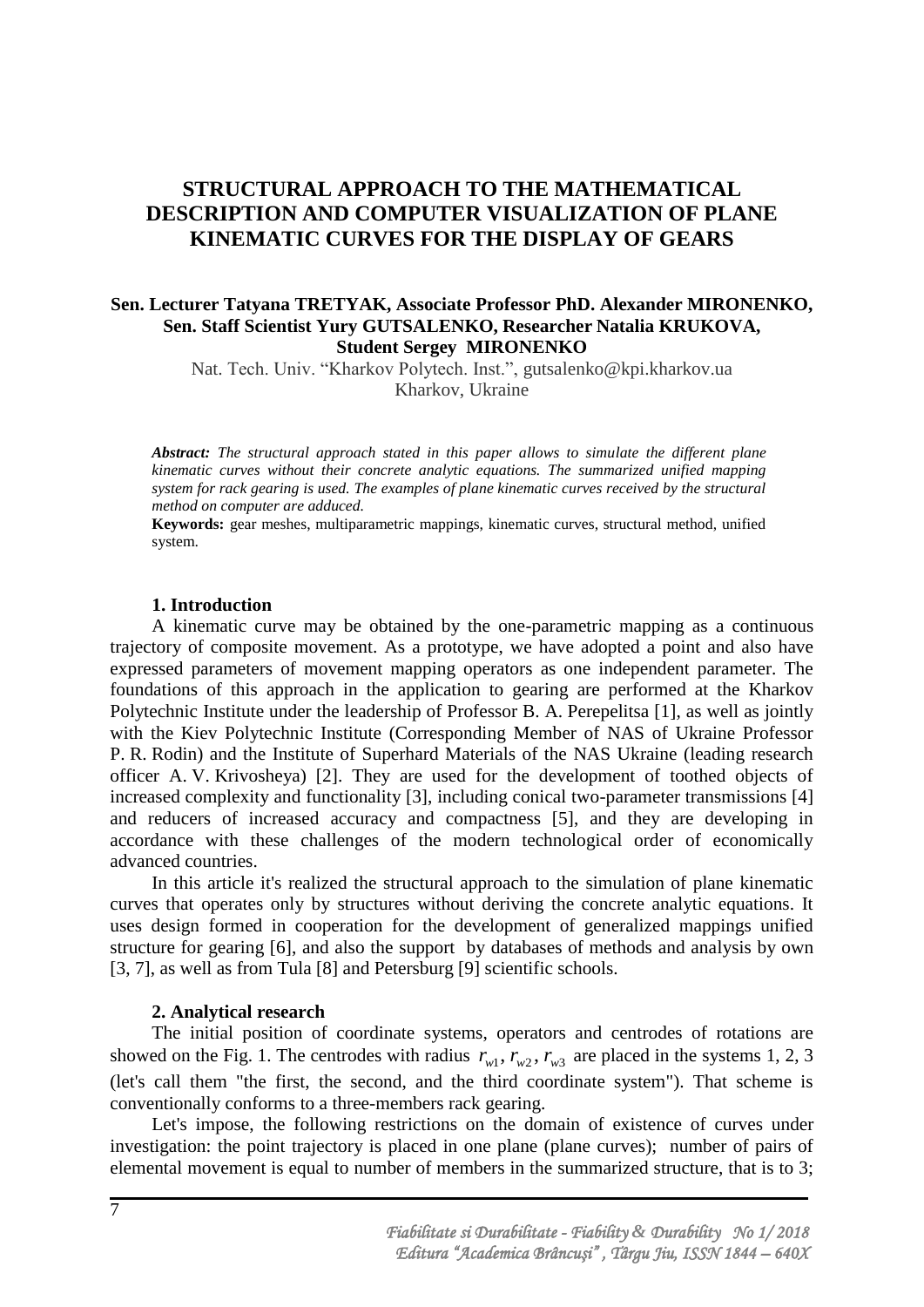# **STRUCTURAL APPROACH TO THE MATHEMATICAL DESCRIPTION AND COMPUTER VISUALIZATION OF PLANE KINEMATIC CURVES FOR THE DISPLAY OF GEARS**

## **Sen. Lecturer Tatyana TRETYAK, Associate Professor PhD. Alexander MIRONENKO, Sen. Staff Scientist Yury GUTSALENKO, Researcher Natalia KRUKOVA, Student Sergey MIRONENKO**

Nat. Tech. Univ. "Kharkov Polytech. Inst.", [gutsalenko@kpi.kharkov.ua](mailto:gutsalenko@kpi.kharkov.ua) Kharkov, Ukraine

*Abstract: The structural approach stated in this paper allows to simulate the different plane kinematic curves without their concrete analytic equations. The summarized unified mapping system for rack gearing is used. The examples of plane kinematic curves received by the structural method on computer are adduced.*

**Keywords:** gear meshes, multiparametric mappings, kinematic curves, structural method, unified system.

### **1. Introduction**

A kinematic curve may be obtained by the one-parametriс mapping as a continuous trajectory of composite movement. As a prototype, we have adopted a point and also have expressed parameters of movement mapping operators as one independent parameter. The foundations of this approach in the application to gearing are performed at the Kharkov Polytechnic Institute under the leadership of Professor B. A. Perepelitsa [1], as well as jointly with the Kiev Polytechnic Institute (Corresponding Member of NAS of Ukraine Professor P. R. Rodin) and the Institute of Superhard Materials of the NAS Ukraine (leading research officer A. V. Krivosheya) [2]. They are used for the development of toothed objects of increased complexity and functionality [3], including conical two-parameter transmissions [4] and reducers of increased accuracy and compactness [5], and they are developing in accordance with these challenges of the modern technological order of economically advanced countries.

In this article it's realized the structural approach to the simulation of plane kinematic curves that operates only by structures without deriving the concrete analytic equations. It uses design formed in cooperation for the development of generalized mappings unified structure for gearing [6], and also the support by databases of methods and analysis by own [3, 7], as well as from Tula [8] and Petersburg [9] scientific schools.

### **2. Analytical research**

The initial position of coordinate systems, operators and centrodes of rotations are showed on the Fig. 1. The centrodes with radius  $r_{w1}$ ,  $r_{w2}$ ,  $r_{w3}$  are placed in the systems 1, 2, 3 (let's call them "the first, the second, and the third coordinate system"). That scheme is conventionally conforms to a three-members rack gearing.

Let's impose, the following restrictions on the domain of existence of curves under investigation: the point trajectory is placed in one plane (plane curves); number of pairs of elemental movement is equal to number of members in the summarized structure, that is to 3;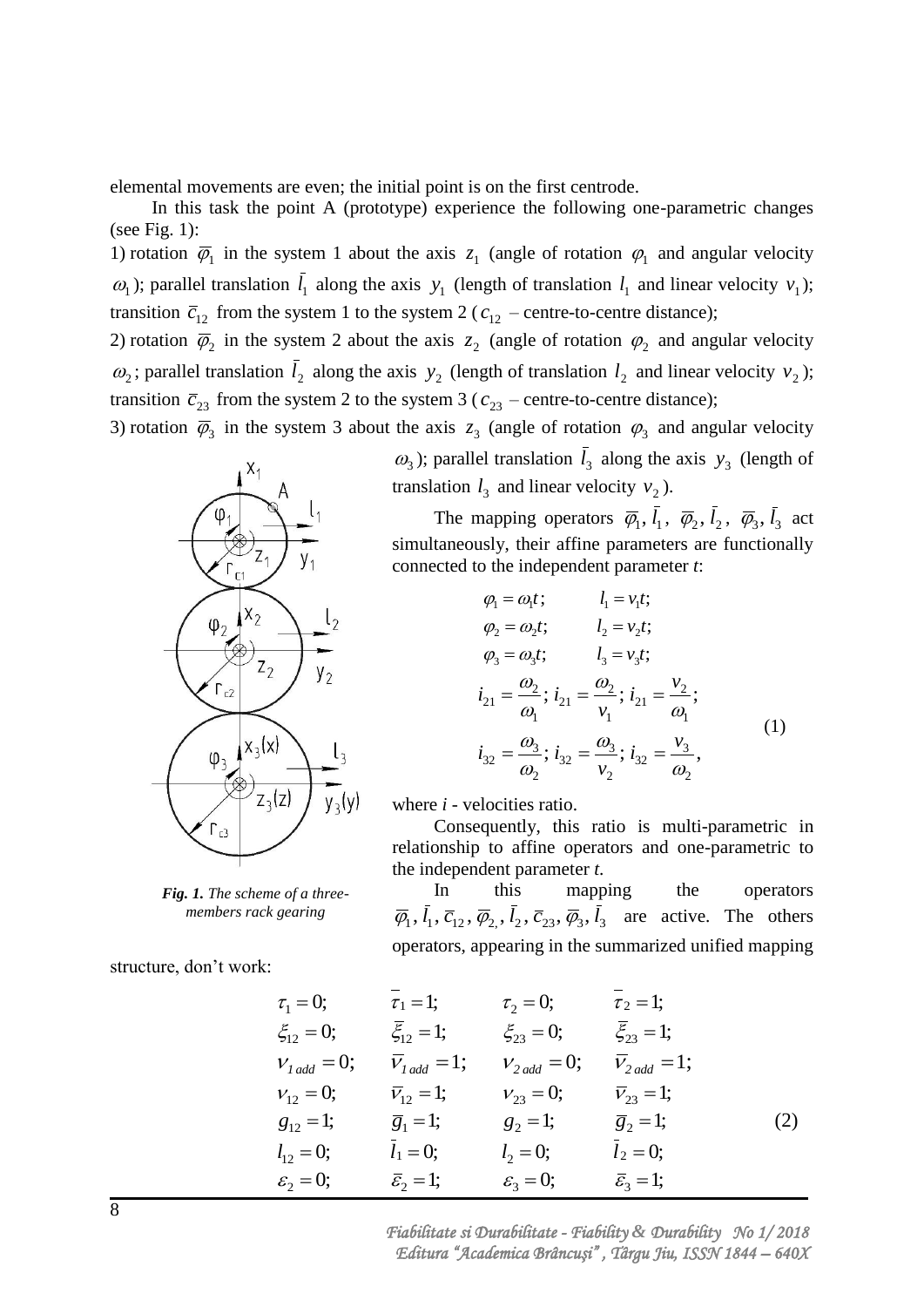elemental movements are even; the initial point is on the first centrode.

In this task the point A (prototype) experience the following one-parametric changes (see Fig. 1):

1) rotation  $\overline{\varphi}_1$  in the system 1 about the axis  $z_1$  (angle of rotation  $\varphi_1$  and angular velocity  $\omega_1$ ); parallel translation  $l_1$  along the axis  $y_1$  (length of translation  $l_1$  and linear velocity  $v_1$ ); transition  $\bar{c}_{12}$  from the system 1 to the system 2 ( $c_{12}$  – centre-to-centre distance);

2) rotation  $\bar{\varphi}_2$  in the system 2 about the axis  $z_2$  (angle of rotation  $\varphi_2$  and angular velocity  $\omega_2$ ; parallel translation  $l_2$  along the axis  $y_2$  (length of translation  $l_2$  and linear velocity  $v_2$ ); transition  $\bar{c}_{23}$  from the system 2 to the system 3 ( $c_{23}$  – centre-to-centre distance);

3) rotation  $\overline{\varphi}_3$  in the system 3 about the axis  $z_3$  (angle of rotation  $\varphi_3$  and angular velocity



*Fig. 1. The scheme of a threemembers rack gearing*

structure, don't work:

 $\omega_3$ ); parallel translation  $l_3$  along the axis  $y_3$  (length of translation  $l_3$  and linear velocity  $v_2$ ).

The mapping operators  $\overline{\varphi}_1$ ,  $l_1$ ,  $\overline{\varphi}_2$ ,  $l_2$ ,  $\overline{\varphi}_3$ ,  $l_3$  act simultaneously, their affine parameters are functionally connected to the independent parameter *t*:

$$
\varphi_1 = \omega_1 t; \qquad l_1 = v_1 t; \n\varphi_2 = \omega_2 t; \qquad l_2 = v_2 t; \n\varphi_3 = \omega_3 t; \qquad l_3 = v_3 t; \n\dot{i}_{21} = \frac{\omega_2}{\omega_1}; \quad \dot{i}_{21} = \frac{\omega_2}{v_1}; \quad \dot{i}_{21} = \frac{v_2}{\omega_1}; \n\dot{i}_{32} = \frac{\omega_3}{\omega_2}; \quad \dot{i}_{32} = \frac{\omega_3}{v_2}; \quad \dot{i}_{32} = \frac{v_3}{\omega_2},
$$
\n(1)

where *i* - velocities ratio.

Consequently, this ratio is multi-parametric in relationship to affine operators and one-parametric to the independent parameter *t*.

In this mapping the operators  $\overline{\varphi}_1$ ,  $\overline{l}_1$ ,  $\overline{c}_{12}$ ,  $\overline{\varphi}_2$ ,  $\overline{l}_2$ ,  $\overline{c}_{23}$ ,  $\overline{\varphi}_3$ ,  $\overline{l}_3$  are active. The others operators, appearing in the summarized unified mapping

$$
\tau_{1} = 0; \qquad \tau_{1} = 1; \qquad \tau_{2} = 0; \qquad \tau_{2} = 1; \n\xi_{12} = 0; \qquad \overline{\xi}_{12} = 1; \qquad \xi_{23} = 0; \qquad \overline{\xi}_{23} = 1; \n\nu_{1 \text{ add}} = 0; \qquad \overline{\nu}_{1 \text{ add}} = 1; \qquad \nu_{2 \text{ add}} = 0; \qquad \overline{\nu}_{2 \text{ add}} = 1; \n\nu_{12} = 0; \qquad \overline{\nu}_{12} = 1; \qquad \nu_{23} = 0; \qquad \overline{\nu}_{23} = 1; \ng_{12} = 1; \qquad \overline{g}_{1} = 1; \qquad g_{2} = 1; \qquad \overline{g}_{2} = 1; \n\nu_{12} = 0; \qquad \overline{l}_{1} = 0; \qquad \overline{l}_{2} = 0; \qquad \overline{l}_{2} = 0; \n\varepsilon_{2} = 0; \qquad \overline{\varepsilon}_{2} = 1; \qquad \varepsilon_{3} = 0; \qquad \overline{\varepsilon}_{3} = 1; \qquad \varepsilon_{4} = 1; \n\end{aligned} \tag{2}
$$

*Fiabilitate si Durabilitate - Fiability & Durability No 1/ 2018 Editura "Academica Brâncuşi" , Târgu Jiu, ISSN 1844 – 640X*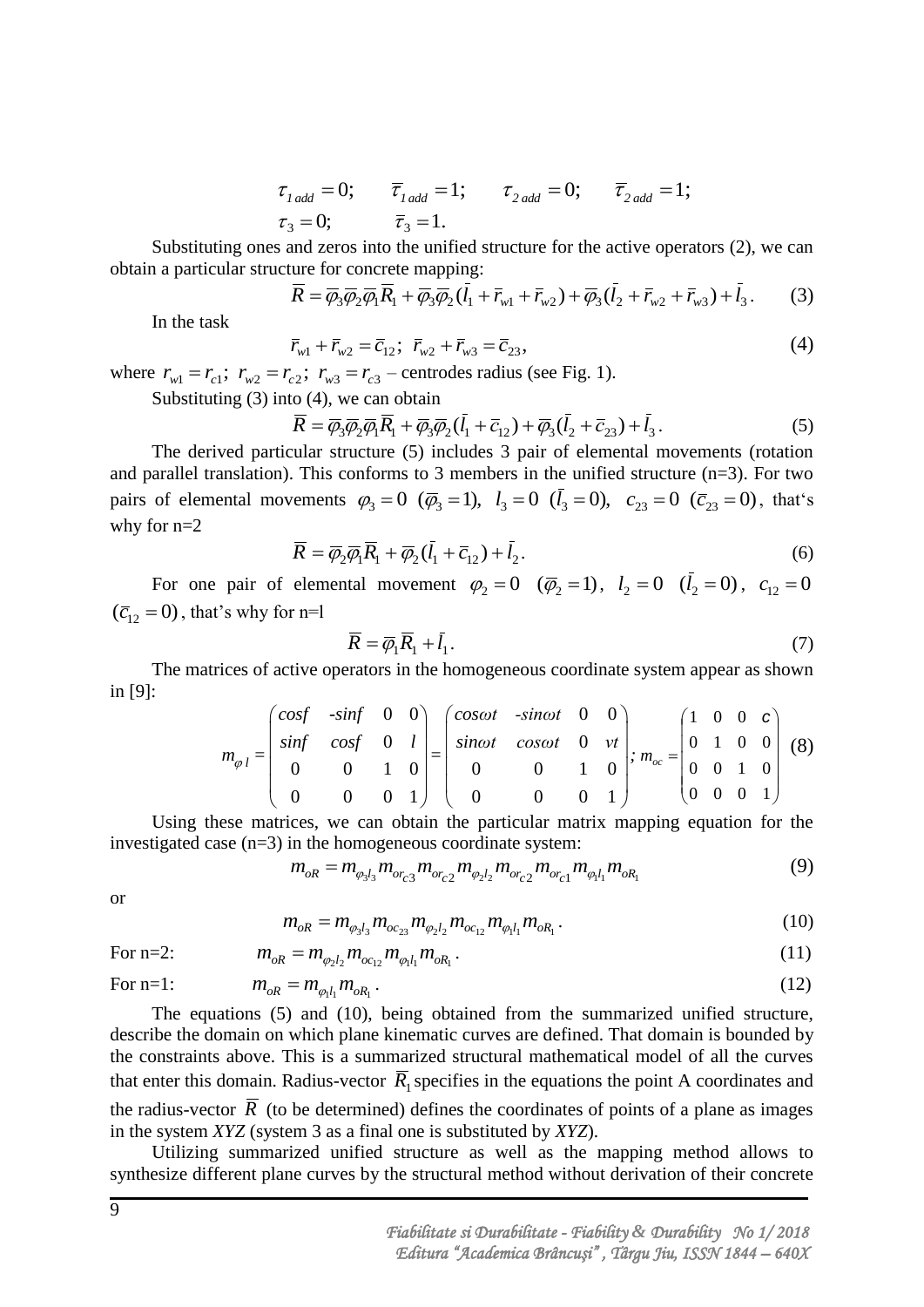$$
\tau_{1 \text{ add}} = 0;
$$
\n $\overline{\tau}_{1 \text{ add}} = 1;$ \n $\tau_{2 \text{ add}} = 0;$ \n $\overline{\tau}_{2 \text{ add}} = 1;$ \n  
\n $\tau_{3} = 0;$ \n $\overline{\tau}_{3} = 1.$ \n $\tau_{3} = 1.$ 

Substituting ones and zeros into the unified structure for the active operators (2), we can obtain a particular structure for concrete mapping:

$$
\overline{R} = \overline{\varphi}_3 \overline{\varphi}_2 \overline{\varphi}_1 \overline{R}_1 + \overline{\varphi}_3 \overline{\varphi}_2 (\overline{l}_1 + \overline{r}_{w1} + \overline{r}_{w2}) + \overline{\varphi}_3 (\overline{l}_2 + \overline{r}_{w2} + \overline{r}_{w3}) + \overline{l}_3. \tag{3}
$$

In the task

$$
\bar{r}_{w1} + \bar{r}_{w2} = \bar{c}_{12}; \ \ \bar{r}_{w2} + \bar{r}_{w3} = \bar{c}_{23}, \tag{4}
$$

where  $r_{w1} = r_{c1}$ ;  $r_{w2} = r_{c2}$ ;  $r_{w3} = r_{c3}$  – centrodes radius (see Fig. 1).

Substituting (3) into (4), we can obtain

$$
\overline{R} = \overline{\varphi}_3 \overline{\varphi}_2 \overline{\varphi}_1 \overline{R}_1 + \overline{\varphi}_3 \overline{\varphi}_2 (\overline{l}_1 + \overline{c}_{12}) + \overline{\varphi}_3 (\overline{l}_2 + \overline{c}_{23}) + \overline{l}_3.
$$
\n(5)

The derived particular structure (5) includes 3 pair of elemental movements (rotation and parallel translation). This conforms to 3 members in the unified structure (n=3). For two pairs of elemental movements  $\varphi_3 = 0 \ (\bar{\varphi}_3 = 1)$ ,  $l_3 = 0 \ (l_3 = 0)$ ,  $c_{23} = 0 \ (\bar{c}_{23} = 0)$ , that's why for n=2

$$
\overline{R} = \overline{\varphi}_2 \overline{\varphi}_1 \overline{R}_1 + \overline{\varphi}_2 (\overline{l}_1 + \overline{c}_{12}) + \overline{l}_2.
$$
\n(6)

For one pair of elemental movement  $\varphi_2 = 0$   $(\overline{\varphi}_2 = 1)$ ,  $l_2 = 0$   $(l_2 = 0)$ ,  $c_{12} = 0$  $(\bar{c}_{12} = 0)$ , that's why for n=l

$$
\overline{R} = \overline{\varphi}_1 \overline{R}_1 + \overline{l}_1. \tag{7}
$$

in [9]:

The matrices of active operators in the homogeneous coordinate system appear as shown:  
\n
$$
m_{\varphi l} = \begin{pmatrix} \cos f & -\sin f & 0 & 0 \\ \sin f & \cos f & 0 & l \\ 0 & 0 & 1 & 0 \\ 0 & 0 & 0 & 1 \end{pmatrix} = \begin{pmatrix} \cos \omega t & -\sin \omega t & 0 & 0 \\ \sin \omega t & \cos \omega t & 0 & \nu t \\ 0 & 0 & 1 & 0 \\ 0 & 0 & 0 & 1 \end{pmatrix}; m_{\varphi c} = \begin{pmatrix} 1 & 0 & 0 & c \\ 0 & 1 & 0 & 0 \\ 0 & 0 & 1 & 0 \\ 0 & 0 & 0 & 1 \end{pmatrix}
$$
 (8)

Using these matrices, we can obtain the particular matrix mapping equation for the investigated case  $(n=3)$  in the homogeneous coordinate system:

$$
m_{oR} = m_{\varphi_3 l_3} m_{or_{c3}} m_{or_{c2}} m_{\varphi_2 l_2} m_{or_{c2}} m_{or_{c1}} m_{\varphi_1 l_1} m_{o R_1}
$$
 (9)

or

$$
m_{oR} = m_{\varphi_3 l_3} m_{o c_{23}} m_{\varphi_2 l_2} m_{o c_{12}} m_{\varphi_1 l_1} m_{o R_1}.
$$
 (10)

For n=2:

For n=2: 
$$
m_{oR} = m_{\varphi_2 l_2} m_{o c_{12}} m_{\varphi_1 l_1} m_{o R_1}.
$$
  
For n=1: 
$$
m_{oR} = m_{\varphi_1 l_1} m_{o R_1}.
$$
 (11)

The equations (5) and (10), being obtained from the summarized unified structure, describe the domain on which plane kinematic curves are defined. That domain is bounded by the constraints above. This is a summarized structural mathematical model of all the curves that enter this domain. Radius-vector  $\overline{R}_1$  specifies in the equations the point A coordinates and the radius-vector  $R$  (to be determined) defines the coordinates of points of a plane as images in the system *XYZ* (system 3 as a final one is substituted by *XYZ*).

Utilizing summarized unified structure as well as the mapping method allows to synthesize different plane curves by the structural method without derivation of their concrete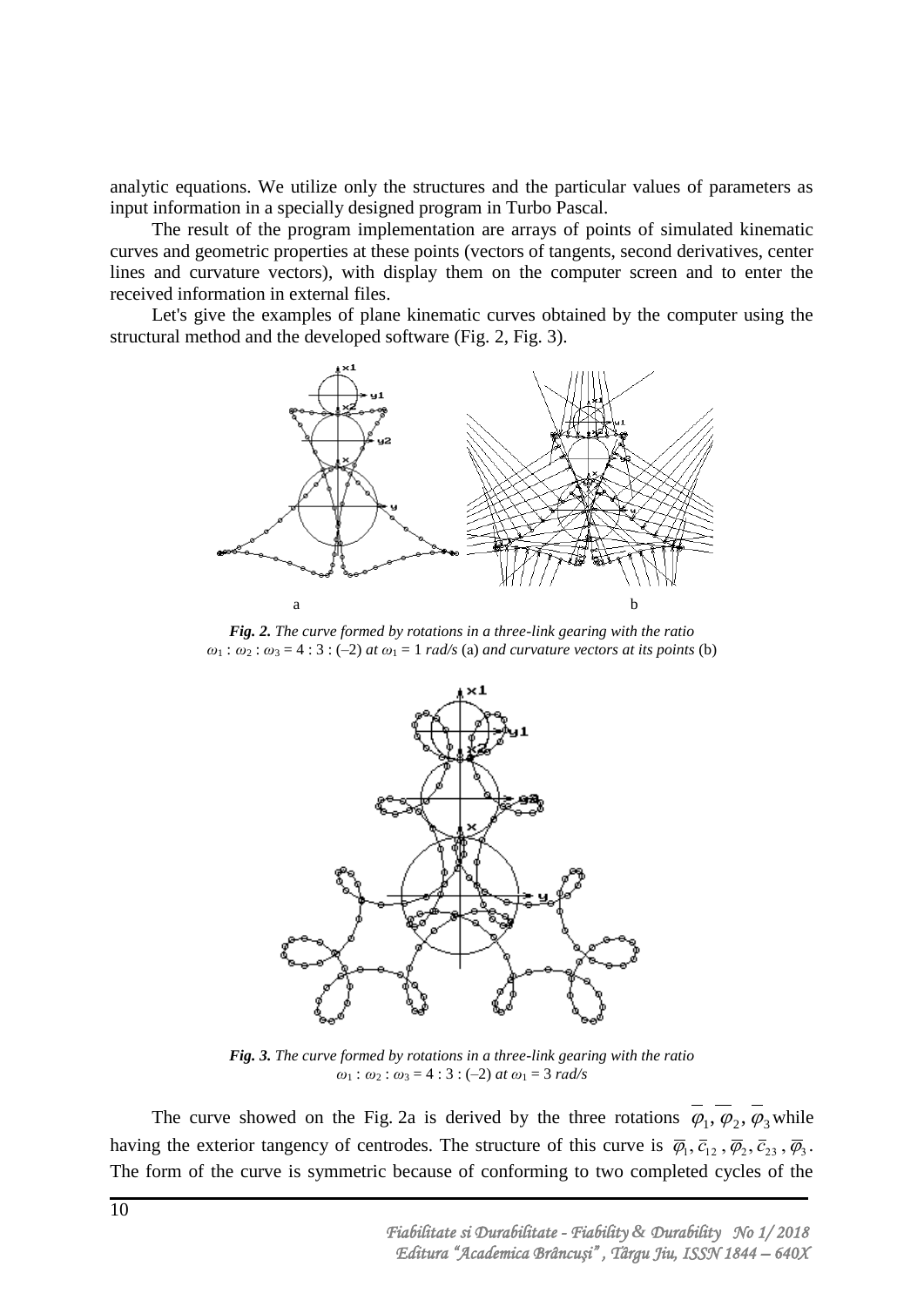analytic equations. We utilize only the structures and the particular values of parameters as input information in a specially designed program in Turbo Pascal.

The result of the program implementation are arrays of points of simulated kinematic curves and geometric properties at these points (vectors of tangents, second derivatives, center lines and curvature vectors), with display them on the computer screen and to enter the received information in external files.

Let's give the examples of plane kinematic curves obtained by the computer using the structural method and the developed software (Fig. 2, Fig. 3).



*Fig. 2. The curve formed by rotations in a three-link gearing with the ratio*  $\omega_1 : \omega_2 : \omega_3 = 4 : 3 : (-2)$  *at*  $\omega_1 = 1$  *rad/s* (a) *and curvature vectors at its points* (b)



*Fig. 3. The curve formed by rotations in a three-link gearing with the ratio*  $\omega_1$  :  $\omega_2$  :  $\omega_3$  = 4 : 3 : (-2) *at*  $\omega_1$  = 3 *rad/s* 

The curve showed on the Fig. 2a is derived by the three rotations  $\varphi_1, \varphi_2, \varphi_3$  while having the exterior tangency of centrodes. The structure of this curve is  $\overline{\varphi}_1$ ,  $\overline{c}_{12}$ ,  $\overline{\varphi}_2$ ,  $\overline{c}_{23}$ ,  $\overline{\varphi}_3$ . The form of the curve is symmetric because of conforming to two completed cycles of the